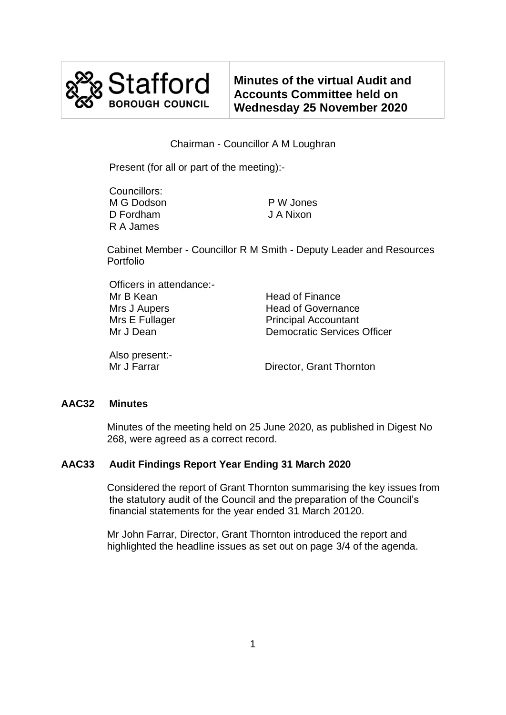

**Minutes of the virtual Audit and Accounts Committee held on Wednesday 25 November 2020** 

# Chairman - Councillor A M Loughran

Present (for all or part of the meeting):-

| Councillors: |           |
|--------------|-----------|
| M G Dodson   | P W Jones |
| D Fordham    | J A Nixon |
| R A James    |           |

 Cabinet Member - Councillor R M Smith - Deputy Leader and Resources Portfolio

| Officers in attendance:- |                                    |
|--------------------------|------------------------------------|
| Mr B Kean                | <b>Head of Finance</b>             |
| Mrs J Aupers             | <b>Head of Governance</b>          |
| Mrs E Fullager           | <b>Principal Accountant</b>        |
| Mr J Dean                | <b>Democratic Services Officer</b> |
| Also present:-           |                                    |
| Mr J Farrar              | Director, Grant Thornton           |

## **AAC32 Minutes**

Minutes of the meeting held on 25 June 2020, as published in Digest No 268, were agreed as a correct record.

# **AAC33 Audit Findings Report Year Ending 31 March 2020**

Considered the report of Grant Thornton summarising the key issues from the statutory audit of the Council and the preparation of the Council's financial statements for the year ended 31 March 20120.

 Mr John Farrar, Director, Grant Thornton introduced the report and highlighted the headline issues as set out on page 3/4 of the agenda.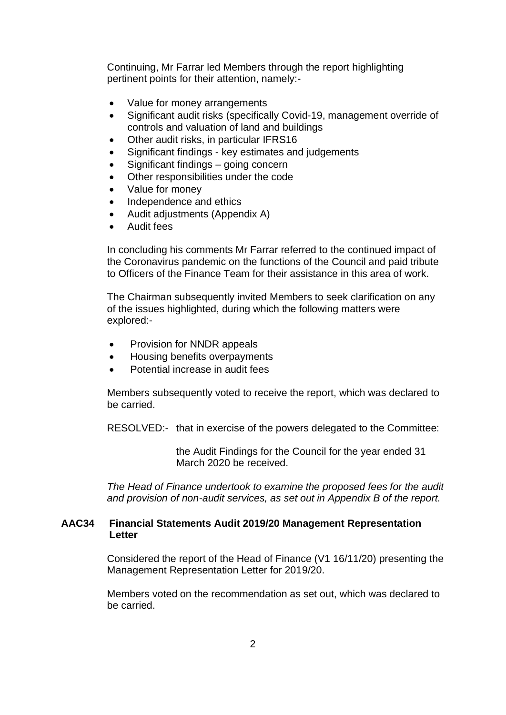Continuing, Mr Farrar led Members through the report highlighting pertinent points for their attention, namely:-

- Value for money arrangements
- Significant audit risks (specifically Covid-19, management override of controls and valuation of land and buildings
- Other audit risks, in particular IFRS16
- Significant findings key estimates and judgements
- Significant findings going concern
- Other responsibilities under the code
- Value for money
- Independence and ethics
- Audit adjustments (Appendix A)
- Audit fees

In concluding his comments Mr Farrar referred to the continued impact of the Coronavirus pandemic on the functions of the Council and paid tribute to Officers of the Finance Team for their assistance in this area of work.

 The Chairman subsequently invited Members to seek clarification on any of the issues highlighted, during which the following matters were explored:-

- Provision for NNDR appeals
- Housing benefits overpayments
- Potential increase in audit fees

 Members subsequently voted to receive the report, which was declared to be carried.

RESOLVED:- that in exercise of the powers delegated to the Committee:

 the Audit Findings for the Council for the year ended 31 March 2020 be received.

*The Head of Finance undertook to examine the proposed fees for the audit and provision of non-audit services, as set out in Appendix B of the report.* 

## **AAC34 Financial Statements Audit 2019/20 Management Representation Letter**

 Considered the report of the Head of Finance (V1 16/11/20) presenting the Management Representation Letter for 2019/20.

 Members voted on the recommendation as set out, which was declared to be carried.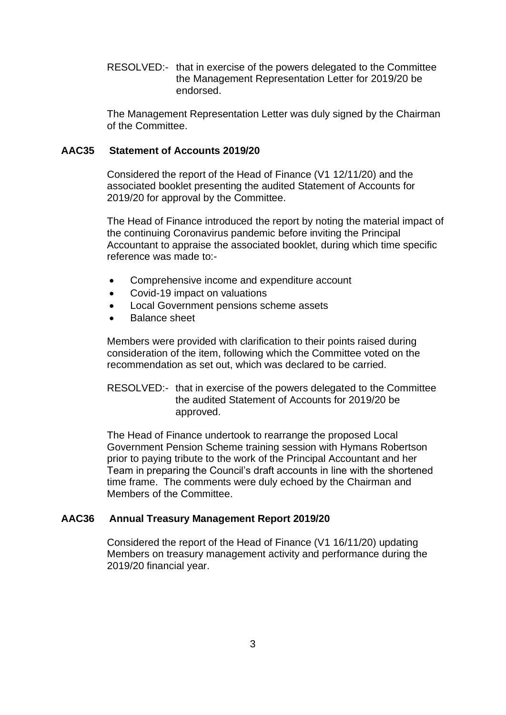RESOLVED:- that in exercise of the powers delegated to the Committee the Management Representation Letter for 2019/20 be endorsed.

 The Management Representation Letter was duly signed by the Chairman of the Committee.

## **AAC35 Statement of Accounts 2019/20**

 Considered the report of the Head of Finance (V1 12/11/20) and the associated booklet presenting the audited Statement of Accounts for 2019/20 for approval by the Committee.

The Head of Finance introduced the report by noting the material impact of the continuing Coronavirus pandemic before inviting the Principal Accountant to appraise the associated booklet, during which time specific reference was made to:-

- Comprehensive income and expenditure account
- Covid-19 impact on valuations
- Local Government pensions scheme assets
- Balance sheet

Members were provided with clarification to their points raised during consideration of the item, following which the Committee voted on the recommendation as set out, which was declared to be carried.

RESOLVED:- that in exercise of the powers delegated to the Committee the audited Statement of Accounts for 2019/20 be approved.

The Head of Finance undertook to rearrange the proposed Local Government Pension Scheme training session with Hymans Robertson prior to paying tribute to the work of the Principal Accountant and her Team in preparing the Council's draft accounts in line with the shortened time frame. The comments were duly echoed by the Chairman and Members of the Committee.

## **AAC36 Annual Treasury Management Report 2019/20**

Considered the report of the Head of Finance (V1 16/11/20) updating Members on treasury management activity and performance during the 2019/20 financial year.